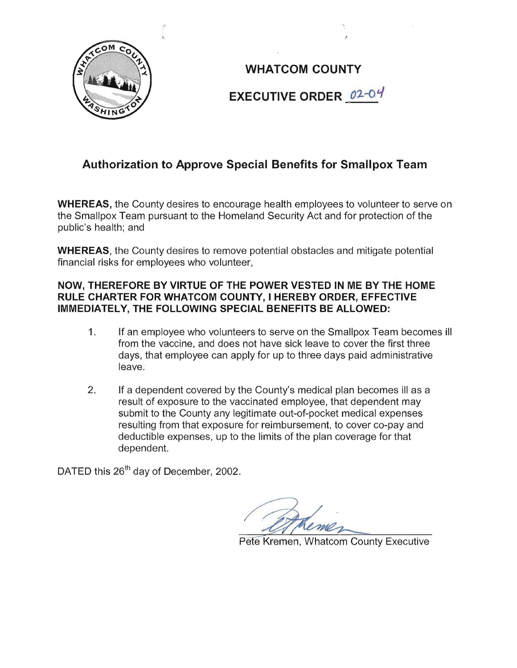

**WHATCOM COUNTY EXECUTIVE ORDER** *02-0.'1* 

# **Authorization to Approve Special Benefits for Smallpox Team**

**WHEREAS,** the County desires to encourage health employees to volunteer to serve on the Smallpox Team pursuant to the Homeland Security Act and for protection of the public's health; and

**WHEREAS,** the County desires to remove potential obstacles and mitigate potential financial risks for employees who volunteer,

## **NOW, THEREFORE BY VIRTUE OF THE POWER VESTED IN ME BY THE HOME RULE CHARTER FOR WHATCOM COUNTY, I HEREBY ORDER, EFFECTIVE IMMEDIATELY, THE FOLLOWING SPECIAL BENEFITS BE ALLOWED:**

- 1. If an employee who volunteers to serve on the Smallpox Team becomes ill from the vaccine, and does not have sick leave to cover the first three days, that employee can apply for up to three days paid administrative leave.
- 2. If a dependent covered by the County's medical plan becomes ill as a result of exposure to the vaccinated employee, that dependent may submit to the County any legitimate out-of-pocket medical expenses resulting from that exposure for reimbursement, to cover co-pay and deductible expenses, up to the limits of the plan coverage for that dependent.

DATED this 26<sup>th</sup> day of December, 2002.

Pete Kremen, Whatcom County Executive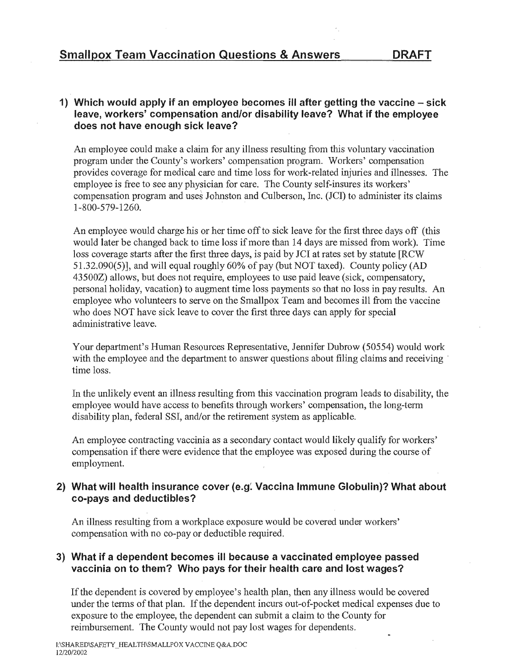### 1) Which would apply if an employee becomes ill after getting the vaccine  $-$  sick leave, workers' compensation and/or disability leave? What if the employee does not have enough sick leave?

An employee could make a claim for any illness resulting from this voluntary vaccination program under the County's workers' compensation program. Workers' compensation provides coverage for medical care and time loss for work-related injuries and illnesses. The physician for care. The County compensation program and uses Johnston and Culberson, Inc. (JCI) to administer its claims 1-800-579-1260.

An employee would charge his or her time off to sick leave for the first three days off (this would later be changed back to time loss if more than 14 days are missed from work). Time loss coverage starts after the first three days, is paid by JCI at rates set by statute [RCW] 51.32.090(5)], and will equal roughly 60% of pay (but NOT taxed). County policy (AD 43500Z) allows, but does not require, employees to use paid leave (sick, compensatory, personal holiday, vacation) to augment time loss payments so that no loss in pay results. An employee who volunteers to serve on the Smallpox Team and becomes ill from the vaccine who does NOT have sick leave to cover the first three days can apply for special administrative

Your department's Human Resources Representative, Jennifer Dubrow (50554) would work with the employee and the department to answer questions about filing claims and receiving time loss.

event an illness resulting from this vaccination program leads to disability, the disability plan, federal SSI, and/or the retirement system as applicable. would have access to benefits through workers' compensation,

An employee contracting vaccinia as a secondary contact would likely qualify for workers' compensation if there were evidence that the employee was exposed during the course of employment.

### 2) What will health insurance cover (e.g: Vaccina Immune Globulin)? What about co-pays and deductibles?

An illness resulting from a workplace exposure would be covered under workers' compensation with no co-pay or deductible required.

### 3) What if a dependent becomes ill because a vaccinated employee passed vaccinia on to them? Who pays for their health care and lost wages?

If the dependent is covered by employee's health plan, then any illness would be covered terms of that plan. If the dependent incurs out-of-pocket medical expenses due to to the employee, the dependent can submit a County for reimbursement. The County would not pay lost wages for dependents.